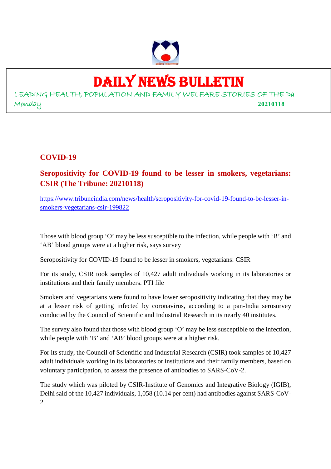

# DAILY NEWS BULLETIN

LEADING HEALTH, POPULATION AND FAMILY WELFARE STORIES OF THE Da Monday **20210118**

#### **COVID-19**

**Seropositivity for COVID-19 found to be lesser in smokers, vegetarians: CSIR (The Tribune: 20210118)**

https://www.tribuneindia.com/news/health/seropositivity-for-covid-19-found-to-be-lesser-insmokers-vegetarians-csir-199822

Those with blood group 'O' may be less susceptible to the infection, while people with 'B' and 'AB' blood groups were at a higher risk, says survey

Seropositivity for COVID-19 found to be lesser in smokers, vegetarians: CSIR

For its study, CSIR took samples of 10,427 adult individuals working in its laboratories or institutions and their family members. PTI file

Smokers and vegetarians were found to have lower seropositivity indicating that they may be at a lesser risk of getting infected by coronavirus, according to a pan-India serosurvey conducted by the Council of Scientific and Industrial Research in its nearly 40 institutes.

The survey also found that those with blood group 'O' may be less susceptible to the infection, while people with 'B' and 'AB' blood groups were at a higher risk.

For its study, the Council of Scientific and Industrial Research (CSIR) took samples of 10,427 adult individuals working in its laboratories or institutions and their family members, based on voluntary participation, to assess the presence of antibodies to SARS-CoV-2.

The study which was piloted by CSIR-Institute of Genomics and Integrative Biology (IGIB), Delhi said of the 10,427 individuals, 1,058 (10.14 per cent) had antibodies against SARS-CoV-2.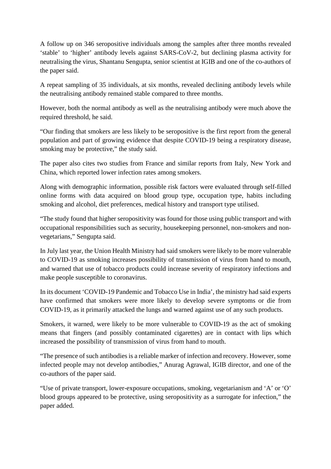A follow up on 346 seropositive individuals among the samples after three months revealed 'stable' to 'higher' antibody levels against SARS-CoV-2, but declining plasma activity for neutralising the virus, Shantanu Sengupta, senior scientist at IGIB and one of the co-authors of the paper said.

A repeat sampling of 35 individuals, at six months, revealed declining antibody levels while the neutralising antibody remained stable compared to three months.

However, both the normal antibody as well as the neutralising antibody were much above the required threshold, he said.

"Our finding that smokers are less likely to be seropositive is the first report from the general population and part of growing evidence that despite COVID-19 being a respiratory disease, smoking may be protective," the study said.

The paper also cites two studies from France and similar reports from Italy, New York and China, which reported lower infection rates among smokers.

Along with demographic information, possible risk factors were evaluated through self-filled online forms with data acquired on blood group type, occupation type, habits including smoking and alcohol, diet preferences, medical history and transport type utilised.

"The study found that higher seropositivity was found for those using public transport and with occupational responsibilities such as security, housekeeping personnel, non-smokers and nonvegetarians," Sengupta said.

In July last year, the Union Health Ministry had said smokers were likely to be more vulnerable to COVID-19 as smoking increases possibility of transmission of virus from hand to mouth, and warned that use of tobacco products could increase severity of respiratory infections and make people susceptible to coronavirus.

In its document 'COVID-19 Pandemic and Tobacco Use in India', the ministry had said experts have confirmed that smokers were more likely to develop severe symptoms or die from COVID-19, as it primarily attacked the lungs and warned against use of any such products.

Smokers, it warned, were likely to be more vulnerable to COVID-19 as the act of smoking means that fingers (and possibly contaminated cigarettes) are in contact with lips which increased the possibility of transmission of virus from hand to mouth.

"The presence of such antibodies is a reliable marker of infection and recovery. However, some infected people may not develop antibodies," Anurag Agrawal, IGIB director, and one of the co-authors of the paper said.

"Use of private transport, lower-exposure occupations, smoking, vegetarianism and 'A' or 'O' blood groups appeared to be protective, using seropositivity as a surrogate for infection," the paper added.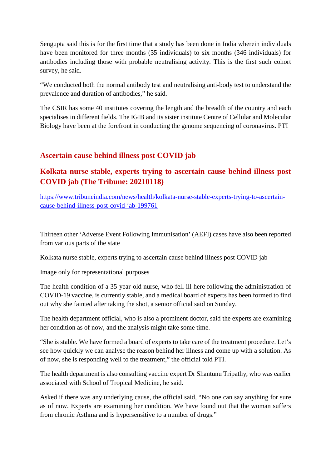Sengupta said this is for the first time that a study has been done in India wherein individuals have been monitored for three months (35 individuals) to six months (346 individuals) for antibodies including those with probable neutralising activity. This is the first such cohort survey, he said.

"We conducted both the normal antibody test and neutralising anti-body test to understand the prevalence and duration of antibodies," he said.

The CSIR has some 40 institutes covering the length and the breadth of the country and each specialises in different fields. The IGIB and its sister institute Centre of Cellular and Molecular Biology have been at the forefront in conducting the genome sequencing of coronavirus. PTI

#### **Ascertain cause behind illness post COVID jab**

#### **Kolkata nurse stable, experts trying to ascertain cause behind illness post COVID jab (The Tribune: 20210118)**

https://www.tribuneindia.com/news/health/kolkata-nurse-stable-experts-trying-to-ascertaincause-behind-illness-post-covid-jab-199761

Thirteen other 'Adverse Event Following Immunisation' (AEFI) cases have also been reported from various parts of the state

Kolkata nurse stable, experts trying to ascertain cause behind illness post COVID jab

Image only for representational purposes

The health condition of a 35-year-old nurse, who fell ill here following the administration of COVID-19 vaccine, is currently stable, and a medical board of experts has been formed to find out why she fainted after taking the shot, a senior official said on Sunday.

The health department official, who is also a prominent doctor, said the experts are examining her condition as of now, and the analysis might take some time.

"She is stable. We have formed a board of experts to take care of the treatment procedure. Let's see how quickly we can analyse the reason behind her illness and come up with a solution. As of now, she is responding well to the treatment," the official told PTI.

The health department is also consulting vaccine expert Dr Shantunu Tripathy, who was earlier associated with School of Tropical Medicine, he said.

Asked if there was any underlying cause, the official said, "No one can say anything for sure as of now. Experts are examining her condition. We have found out that the woman suffers from chronic Asthma and is hypersensitive to a number of drugs."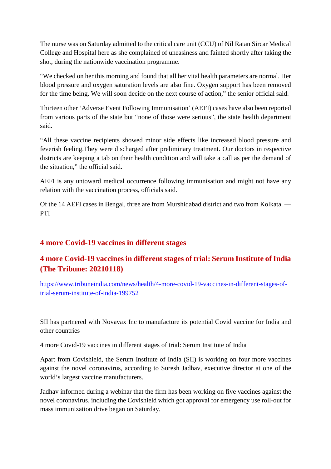The nurse was on Saturday admitted to the critical care unit (CCU) of Nil Ratan Sircar Medical College and Hospital here as she complained of uneasiness and fainted shortly after taking the shot, during the nationwide vaccination programme.

"We checked on her this morning and found that all her vital health parameters are normal. Her blood pressure and oxygen saturation levels are also fine. Oxygen support has been removed for the time being. We will soon decide on the next course of action," the senior official said.

Thirteen other 'Adverse Event Following Immunisation' (AEFI) cases have also been reported from various parts of the state but "none of those were serious", the state health department said.

"All these vaccine recipients showed minor side effects like increased blood pressure and feverish feeling.They were discharged after preliminary treatment. Our doctors in respective districts are keeping a tab on their health condition and will take a call as per the demand of the situation," the official said.

AEFI is any untoward medical occurrence following immunisation and might not have any relation with the vaccination process, officials said.

Of the 14 AEFI cases in Bengal, three are from Murshidabad district and two from Kolkata. — PTI

#### **4 more Covid-19 vaccines in different stages**

#### **4 more Covid-19 vaccines in different stages of trial: Serum Institute of India (The Tribune: 20210118)**

https://www.tribuneindia.com/news/health/4-more-covid-19-vaccines-in-different-stages-oftrial-serum-institute-of-india-199752

SII has partnered with Novavax Inc to manufacture its potential Covid vaccine for India and other countries

4 more Covid-19 vaccines in different stages of trial: Serum Institute of India

Apart from Covishield, the Serum Institute of India (SII) is working on four more vaccines against the novel coronavirus, according to Suresh Jadhav, executive director at one of the world's largest vaccine manufacturers.

Jadhav informed during a webinar that the firm has been working on five vaccines against the novel coronavirus, including the Covishield which got approval for emergency use roll-out for mass immunization drive began on Saturday.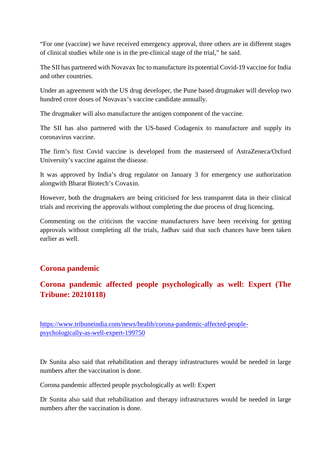"For one (vaccine) we have received emergency approval, three others are in different stages of clinical studies while one is in the pre-clinical stage of the trial," he said.

The SII has partnered with Novavax Inc to manufacture its potential Covid-19 vaccine for India and other countries.

Under an agreement with the US drug developer, the Pune based drugmaker will develop two hundred crore doses of Novavax's vaccine candidate annually.

The drugmaker will also manufacture the antigen component of the vaccine.

The SII has also partnered with the US-based Codagenix to manufacture and supply its coronavirus vaccine.

The firm's first Covid vaccine is developed from the masterseed of AstraZeneca/Oxford University's vaccine against the disease.

It was approved by India's drug regulator on January 3 for emergency use authorization alongwith Bharat Biotech's Covaxin.

However, both the drugmakers are being criticised for less transparent data in their clinical trials and receiving the approvals without completing the due process of drug licencing.

Commenting on the criticism the vaccine manufacturers have been receiving for getting approvals without completing all the trials, Jadhav said that such chances have been taken earlier as well.

#### **Corona pandemic**

### **Corona pandemic affected people psychologically as well: Expert (The Tribune: 20210118)**

https://www.tribuneindia.com/news/health/corona-pandemic-affected-peoplepsychologically-as-well-expert-199750

Dr Sunita also said that rehabilitation and therapy infrastructures would be needed in large numbers after the vaccination is done.

Corona pandemic affected people psychologically as well: Expert

Dr Sunita also said that rehabilitation and therapy infrastructures would be needed in large numbers after the vaccination is done.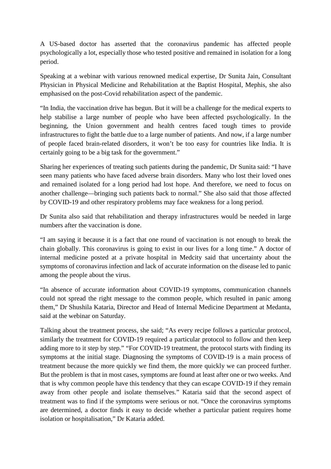A US-based doctor has asserted that the coronavirus pandemic has affected people psychologically a lot, especially those who tested positive and remained in isolation for a long period.

Speaking at a webinar with various renowned medical expertise, Dr Sunita Jain, Consultant Physician in Physical Medicine and Rehabilitation at the Baptist Hospital, Mephis, she also emphasised on the post-Covid rehabilitation aspect of the pandemic.

"In India, the vaccination drive has begun. But it will be a challenge for the medical experts to help stabilise a large number of people who have been affected psychologically. In the beginning, the Union government and health centres faced tough times to provide infrastructures to fight the battle due to a large number of patients. And now, if a large number of people faced brain-related disorders, it won't be too easy for countries like India. It is certainly going to be a big task for the government."

Sharing her experiences of treating such patients during the pandemic, Dr Sunita said: "I have seen many patients who have faced adverse brain disorders. Many who lost their loved ones and remained isolated for a long period had lost hope. And therefore, we need to focus on another challenge—bringing such patients back to normal." She also said that those affected by COVID-19 and other respiratory problems may face weakness for a long period.

Dr Sunita also said that rehabilitation and therapy infrastructures would be needed in large numbers after the vaccination is done.

"I am saying it because it is a fact that one round of vaccination is not enough to break the chain globally. This coronavirus is going to exist in our lives for a long time." A doctor of internal medicine posted at a private hospital in Medcity said that uncertainty about the symptoms of coronavirus infection and lack of accurate information on the disease led to panic among the people about the virus.

"In absence of accurate information about COVID-19 symptoms, communication channels could not spread the right message to the common people, which resulted in panic among them," Dr Shushila Kataria, Director and Head of Internal Medicine Department at Medanta, said at the webinar on Saturday.

Talking about the treatment process, she said; "As every recipe follows a particular protocol, similarly the treatment for COVID-19 required a particular protocol to follow and then keep adding more to it step by step." "For COVID-19 treatment, the protocol starts with finding its symptoms at the initial stage. Diagnosing the symptoms of COVID-19 is a main process of treatment because the more quickly we find them, the more quickly we can proceed further. But the problem is that in most cases, symptoms are found at least after one or two weeks. And that is why common people have this tendency that they can escape COVID-19 if they remain away from other people and isolate themselves." Kataria said that the second aspect of treatment was to find if the symptoms were serious or not. "Once the coronavirus symptoms are determined, a doctor finds it easy to decide whether a particular patient requires home isolation or hospitalisation," Dr Kataria added.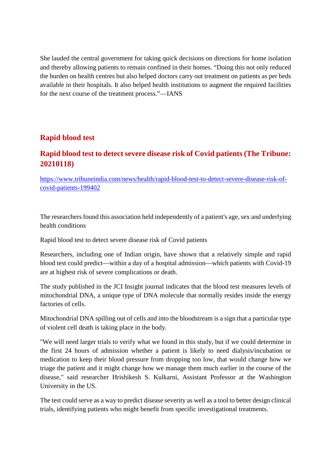She lauded the central government for taking quick decisions on directions for home isolation and thereby allowing patients to remain confined in their homes. "Doing this not only reduced the burden on health centres but also helped doctors carry out treatment on patients as per beds available in their hospitals. It also helped health institutions to augment the required facilities for the next course of the treatment process."—IANS

#### **Rapid blood test**

#### **Rapid blood test to detect severe disease risk of Covid patients (The Tribune: 20210118)**

https://www.tribuneindia.com/news/health/rapid-blood-test-to-detect-severe-disease-risk-ofcovid-patients-199402

The researchers found this association held independently of a patient's age, sex and underlying health conditions

Rapid blood test to detect severe disease risk of Covid patients

Researchers, including one of Indian origin, have shown that a relatively simple and rapid blood test could predict—within a day of a hospital admission—which patients with Covid-19 are at highest risk of severe complications or death.

The study published in the JCI Insight journal indicates that the blood test measures levels of mitochondrial DNA, a unique type of DNA molecule that normally resides inside the energy factories of cells.

Mitochondrial DNA spilling out of cells and into the bloodstream is a sign that a particular type of violent cell death is taking place in the body.

"We will need larger trials to verify what we found in this study, but if we could determine in the first 24 hours of admission whether a patient is likely to need dialysis/incubation or medication to keep their blood pressure from dropping too low, that would change how we triage the patient and it might change how we manage them much earlier in the course of the disease," said researcher Hrishikesh S. Kulkarni, Assistant Professor at the Washington University in the US.

The test could serve as a way to predict disease severity as well as a tool to better design clinical trials, identifying patients who might benefit from specific investigational treatments.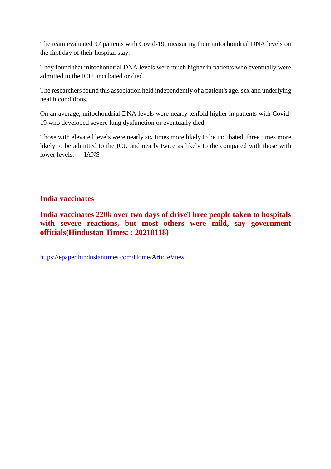The team evaluated 97 patients with Covid-19, measuring their mitochondrial DNA levels on the first day of their hospital stay.

They found that mitochondrial DNA levels were much higher in patients who eventually were admitted to the ICU, incubated or died.

The researchers found this association held independently of a patient's age, sex and underlying health conditions.

On an average, mitochondrial DNA levels were nearly tenfold higher in patients with Covid-19 who developed severe lung dysfunction or eventually died.

Those with elevated levels were nearly six times more likely to be incubated, three times more likely to be admitted to the ICU and nearly twice as likely to die compared with those with lower levels. — IANS

#### **India vaccinates**

**India vaccinates 220k over two days of driveThree people taken to hospitals with severe reactions, but most others were mild, say government officials(Hindustan Times: : 20210118)**

https://epaper.hindustantimes.com/Home/ArticleView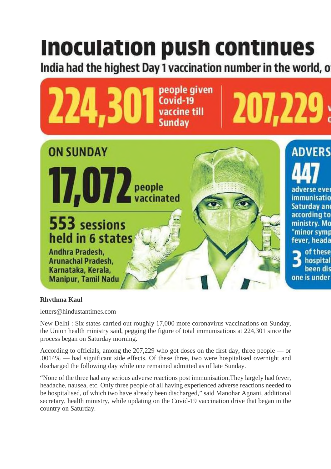# Inoculation push continues

India had the highest Day 1 vaccination number in the world, o



#### **Rhythma Kaul**

letters@hindustantimes.com

New Delhi : Six states carried out roughly 17,000 more coronavirus vaccinations on Sunday, the Union health ministry said, pegging the figure of total immunisations at 224,301 since the process began on Saturday morning.

According to officials, among the 207,229 who got doses on the first day, three people — or .0014% — had significant side effects. Of these three, two were hospitalised overnight and discharged the following day while one remained admitted as of late Sunday.

"None of the three had any serious adverse reactions post immunisation.They largely had fever, headache, nausea, etc. Only three people of all having experienced adverse reactions needed to be hospitalised, of which two have already been discharged," said Manohar Agnani, additional secretary, health ministry, while updating on the Covid-19 vaccination drive that began in the country on Saturday.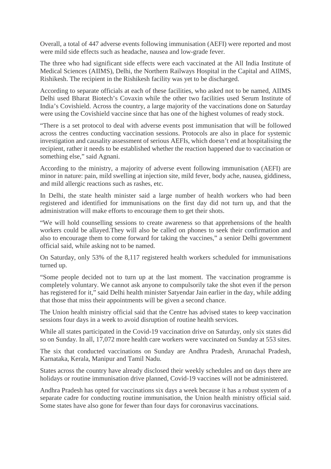Overall, a total of 447 adverse events following immunisation (AEFI) were reported and most were mild side effects such as headache, nausea and low-grade fever.

The three who had significant side effects were each vaccinated at the All India Institute of Medical Sciences (AIIMS), Delhi, the Northern Railways Hospital in the Capital and AIIMS, Rishikesh. The recipient in the Rishikesh facility was yet to be discharged.

According to separate officials at each of these facilities, who asked not to be named, AIIMS Delhi used Bharat Biotech's Covaxin while the other two facilities used Serum Institute of India's Covishield. Across the country, a large majority of the vaccinations done on Saturday were using the Covishield vaccine since that has one of the highest volumes of ready stock.

"There is a set protocol to deal with adverse events post immunisation that will be followed across the centres conducting vaccination sessions. Protocols are also in place for systemic investigation and causality assessment of serious AEFIs, which doesn't end at hospitalising the recipient, rather it needs to be established whether the reaction happened due to vaccination or something else," said Agnani.

According to the ministry, a majority of adverse event following immunisation (AEFI) are minor in nature: pain, mild swelling at injection site, mild fever, body ache, nausea, giddiness, and mild allergic reactions such as rashes, etc.

In Delhi, the state health minister said a large number of health workers who had been registered and identified for immunisations on the first day did not turn up, and that the administration will make efforts to encourage them to get their shots.

"We will hold counselling sessions to create awareness so that apprehensions of the health workers could be allayed.They will also be called on phones to seek their confirmation and also to encourage them to come forward for taking the vaccines," a senior Delhi government official said, while asking not to be named.

On Saturday, only 53% of the 8,117 registered health workers scheduled for immunisations turned up.

"Some people decided not to turn up at the last moment. The vaccination programme is completely voluntary. We cannot ask anyone to compulsorily take the shot even if the person has registered for it," said Delhi health minister Satyendar Jain earlier in the day, while adding that those that miss their appointments will be given a second chance.

The Union health ministry official said that the Centre has advised states to keep vaccination sessions four days in a week to avoid disruption of routine health services.

While all states participated in the Covid-19 vaccination drive on Saturday, only six states did so on Sunday. In all, 17,072 more health care workers were vaccinated on Sunday at 553 sites.

The six that conducted vaccinations on Sunday are Andhra Pradesh, Arunachal Pradesh, Karnataka, Kerala, Manipur and Tamil Nadu.

States across the country have already disclosed their weekly schedules and on days there are holidays or routine immunisation drive planned, Covid-19 vaccines will not be administered.

Andhra Pradesh has opted for vaccinations six days a week because it has a robust system of a separate cadre for conducting routine immunisation, the Union health ministry official said. Some states have also gone for fewer than four days for coronavirus vaccinations.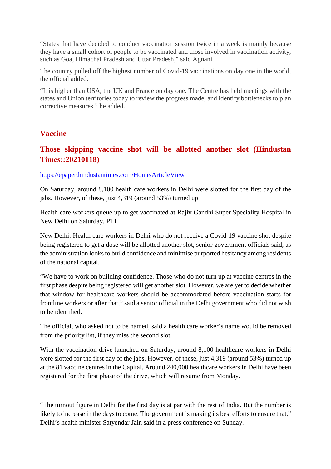"States that have decided to conduct vaccination session twice in a week is mainly because they have a small cohort of people to be vaccinated and those involved in vaccination activity, such as Goa, Himachal Pradesh and Uttar Pradesh," said Agnani.

The country pulled off the highest number of Covid-19 vaccinations on day one in the world, the official added.

"It is higher than USA, the UK and France on day one. The Centre has held meetings with the states and Union territories today to review the progress made, and identify bottlenecks to plan corrective measures," he added.

#### **Vaccine**

#### **Those skipping vaccine shot will be allotted another slot (Hindustan Times::20210118)**

#### https://epaper.hindustantimes.com/Home/ArticleView

On Saturday, around 8,100 health care workers in Delhi were slotted for the first day of the jabs. However, of these, just 4,319 (around 53%) turned up

Health care workers queue up to get vaccinated at Rajiv Gandhi Super Speciality Hospital in New Delhi on Saturday. PTI

New Delhi: Health care workers in Delhi who do not receive a Covid-19 vaccine shot despite being registered to get a dose will be allotted another slot, senior government officials said, as the administration looks to build confidence and minimise purported hesitancy among residents of the national capital.

"We have to work on building confidence. Those who do not turn up at vaccine centres in the first phase despite being registered will get another slot. However, we are yet to decide whether that window for healthcare workers should be accommodated before vaccination starts for frontline workers or after that," said a senior official in the Delhi government who did not wish to be identified.

The official, who asked not to be named, said a health care worker's name would be removed from the priority list, if they miss the second slot.

With the vaccination drive launched on Saturday, around 8,100 healthcare workers in Delhi were slotted for the first day of the jabs. However, of these, just 4,319 (around 53%) turned up at the 81 vaccine centres in the Capital. Around 240,000 healthcare workers in Delhi have been registered for the first phase of the drive, which will resume from Monday.

"The turnout figure in Delhi for the first day is at par with the rest of India. But the number is likely to increase in the days to come. The government is making its best efforts to ensure that," Delhi's health minister Satyendar Jain said in a press conference on Sunday.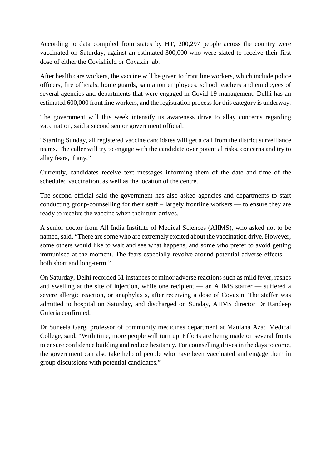According to data compiled from states by HT, 200,297 people across the country were vaccinated on Saturday, against an estimated 300,000 who were slated to receive their first dose of either the Covishield or Covaxin jab.

After health care workers, the vaccine will be given to front line workers, which include police officers, fire officials, home guards, sanitation employees, school teachers and employees of several agencies and departments that were engaged in Covid-19 management. Delhi has an estimated 600,000 front line workers, and the registration process for this category is underway.

The government will this week intensify its awareness drive to allay concerns regarding vaccination, said a second senior government official.

"Starting Sunday, all registered vaccine candidates will get a call from the district surveillance teams. The caller will try to engage with the candidate over potential risks, concerns and try to allay fears, if any."

Currently, candidates receive text messages informing them of the date and time of the scheduled vaccination, as well as the location of the centre.

The second official said the government has also asked agencies and departments to start conducting group-counselling for their staff – largely frontline workers — to ensure they are ready to receive the vaccine when their turn arrives.

A senior doctor from All India Institute of Medical Sciences (AIIMS), who asked not to be named, said, "There are some who are extremely excited about the vaccination drive. However, some others would like to wait and see what happens, and some who prefer to avoid getting immunised at the moment. The fears especially revolve around potential adverse effects both short and long-term."

On Saturday, Delhi recorded 51 instances of minor adverse reactions such as mild fever, rashes and swelling at the site of injection, while one recipient — an AIIMS staffer — suffered a severe allergic reaction, or anaphylaxis, after receiving a dose of Covaxin. The staffer was admitted to hospital on Saturday, and discharged on Sunday, AIIMS director Dr Randeep Guleria confirmed.

Dr Suneela Garg, professor of community medicines department at Maulana Azad Medical College, said, "With time, more people will turn up. Efforts are being made on several fronts to ensure confidence building and reduce hesitancy. For counselling drives in the days to come, the government can also take help of people who have been vaccinated and engage them in group discussions with potential candidates."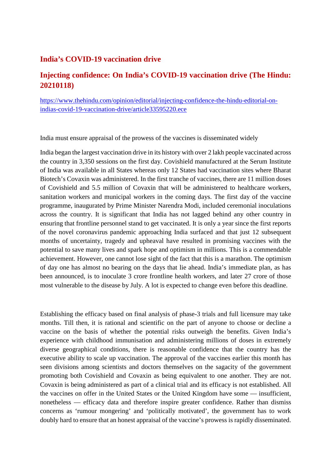#### **India's COVID-19 vaccination drive**

#### **Injecting confidence: On India's COVID-19 vaccination drive (The Hindu: 20210118)**

https://www.thehindu.com/opinion/editorial/injecting-confidence-the-hindu-editorial-onindias-covid-19-vaccination-drive/article33595220.ece

India must ensure appraisal of the prowess of the vaccines is disseminated widely

India began the largest vaccination drive in its history with over 2 lakh people vaccinated across the country in 3,350 sessions on the first day. Covishield manufactured at the Serum Institute of India was available in all States whereas only 12 States had vaccination sites where Bharat Biotech's Covaxin was administered. In the first tranche of vaccines, there are 11 million doses of Covishield and 5.5 million of Covaxin that will be administered to healthcare workers, sanitation workers and municipal workers in the coming days. The first day of the vaccine programme, inaugurated by Prime Minister Narendra Modi, included ceremonial inoculations across the country. It is significant that India has not lagged behind any other country in ensuring that frontline personnel stand to get vaccinated. It is only a year since the first reports of the novel coronavirus pandemic approaching India surfaced and that just 12 subsequent months of uncertainty, tragedy and upheaval have resulted in promising vaccines with the potential to save many lives and spark hope and optimism in millions. This is a commendable achievement. However, one cannot lose sight of the fact that this is a marathon. The optimism of day one has almost no bearing on the days that lie ahead. India's immediate plan, as has been announced, is to inoculate 3 crore frontline health workers, and later 27 crore of those most vulnerable to the disease by July. A lot is expected to change even before this deadline.

Establishing the efficacy based on final analysis of phase-3 trials and full licensure may take months. Till then, it is rational and scientific on the part of anyone to choose or decline a vaccine on the basis of whether the potential risks outweigh the benefits. Given India's experience with childhood immunisation and administering millions of doses in extremely diverse geographical conditions, there is reasonable confidence that the country has the executive ability to scale up vaccination. The approval of the vaccines earlier this month has seen divisions among scientists and doctors themselves on the sagacity of the government promoting both Covishield and Covaxin as being equivalent to one another. They are not. Covaxin is being administered as part of a clinical trial and its efficacy is not established. All the vaccines on offer in the United States or the United Kingdom have some — insufficient, nonetheless — efficacy data and therefore inspire greater confidence. Rather than dismiss concerns as 'rumour mongering' and 'politically motivated', the government has to work doubly hard to ensure that an honest appraisal of the vaccine's prowess is rapidly disseminated.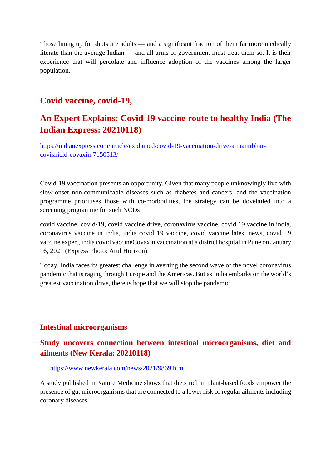Those lining up for shots are adults — and a significant fraction of them far more medically literate than the average Indian — and all arms of government must treat them so. It is their experience that will percolate and influence adoption of the vaccines among the larger population.

### **Covid vaccine, covid-19,**

## **An Expert Explains: Covid-19 vaccine route to healthy India (The Indian Express: 20210118)**

https://indianexpress.com/article/explained/covid-19-vaccination-drive-atmanirbharcovishield-covaxin-7150513/

Covid-19 vaccination presents an opportunity. Given that many people unknowingly live with slow-onset non-communicable diseases such as diabetes and cancers, and the vaccination programme prioritises those with co-morbodities, the strategy can be dovetailed into a screening programme for such NCDs

covid vaccine, covid-19, covid vaccine drive, coronavirus vaccine, covid 19 vaccine in india, coronavirus vaccine in india, india covid 19 vaccine, covid vaccine latest news, covid 19 vaccine expert, india covid vaccineCovaxin vaccination at a district hospital in Pune on January 16, 2021 (Express Photo: Arul Horizon)

Today, India faces its greatest challenge in averting the second wave of the novel coronavirus pandemic that is raging through Europe and the Americas. But as India embarks on the world's greatest vaccination drive, there is hope that we will stop the pandemic.

#### **Intestinal microorganisms**

#### **Study uncovers connection between intestinal microorganisms, diet and ailments (New Kerala: 20210118)**

#### https://www.newkerala.com/news/2021/9869.htm

A study published in Nature Medicine shows that diets rich in plant-based foods empower the presence of gut microorganisms that are connected to a lower risk of regular ailments including coronary diseases.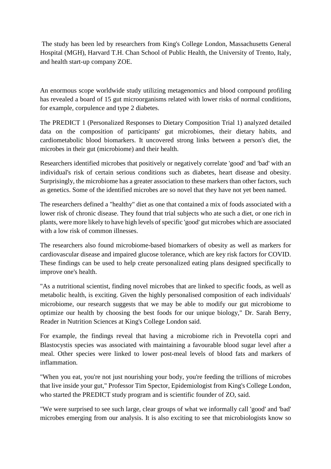The study has been led by researchers from King's College London, Massachusetts General Hospital (MGH), Harvard T.H. Chan School of Public Health, the University of Trento, Italy, and health start-up company ZOE.

An enormous scope worldwide study utilizing metagenomics and blood compound profiling has revealed a board of 15 gut microorganisms related with lower risks of normal conditions, for example, corpulence and type 2 diabetes.

The PREDICT 1 (Personalized Responses to Dietary Composition Trial 1) analyzed detailed data on the composition of participants' gut microbiomes, their dietary habits, and cardiometabolic blood biomarkers. It uncovered strong links between a person's diet, the microbes in their gut (microbiome) and their health.

Researchers identified microbes that positively or negatively correlate 'good' and 'bad' with an individual's risk of certain serious conditions such as diabetes, heart disease and obesity. Surprisingly, the microbiome has a greater association to these markers than other factors, such as genetics. Some of the identified microbes are so novel that they have not yet been named.

The researchers defined a "healthy" diet as one that contained a mix of foods associated with a lower risk of chronic disease. They found that trial subjects who ate such a diet, or one rich in plants, were more likely to have high levels of specific 'good' gut microbes which are associated with a low risk of common illnesses.

The researchers also found microbiome-based biomarkers of obesity as well as markers for cardiovascular disease and impaired glucose tolerance, which are key risk factors for COVID. These findings can be used to help create personalized eating plans designed specifically to improve one's health.

"As a nutritional scientist, finding novel microbes that are linked to specific foods, as well as metabolic health, is exciting. Given the highly personalised composition of each individuals' microbiome, our research suggests that we may be able to modify our gut microbiome to optimize our health by choosing the best foods for our unique biology," Dr. Sarah Berry, Reader in Nutrition Sciences at King's College London said.

For example, the findings reveal that having a microbiome rich in Prevotella copri and Blastocystis species was associated with maintaining a favourable blood sugar level after a meal. Other species were linked to lower post-meal levels of blood fats and markers of inflammation.

"When you eat, you're not just nourishing your body, you're feeding the trillions of microbes that live inside your gut," Professor Tim Spector, Epidemiologist from King's College London, who started the PREDICT study program and is scientific founder of ZO, said.

"We were surprised to see such large, clear groups of what we informally call 'good' and 'bad' microbes emerging from our analysis. It is also exciting to see that microbiologists know so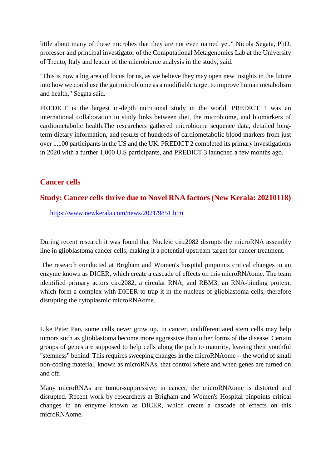little about many of these microbes that they are not even named yet," Nicola Segata, PhD, professor and principal investigator of the Computational Metagenomics Lab at the University of Trento, Italy and leader of the microbiome analysis in the study, said.

"This is now a big area of focus for us, as we believe they may open new insights in the future into how we could use the gut microbiome as a modifiable target to improve human metabolism and health," Segata said.

PREDICT is the largest in-depth nutritional study in the world. PREDICT 1 was an international collaboration to study links between diet, the microbiome, and biomarkers of cardiometabolic health.The researchers gathered microbiome sequence data, detailed longterm dietary information, and results of hundreds of cardiometabolic blood markers from just over 1,100 participants in the US and the UK. PREDICT 2 completed its primary investigations in 2020 with a further 1,000 U.S participants, and PREDICT 3 launched a few months ago.

#### **Cancer cells**

#### **Study: Cancer cells thrive due to Novel RNA factors (New Kerala: 20210118)**

https://www.newkerala.com/news/2021/9851.htm

During recent research it was found that Nucleic circ2082 disrupts the microRNA assembly line in glioblastoma cancer cells, making it a potential upstream target for cancer treatment.

The research conducted at Brigham and Women's hospital pinpoints critical changes in an enzyme known as DICER, which create a cascade of effects on this microRNAome. The team identified primary actors circ2082, a circular RNA, and RBM3, an RNA-binding protein, which form a complex with DICER to trap it in the nucleus of glioblastoma cells, therefore disrupting the cytoplasmic microRNAome.

Like Peter Pan, some cells never grow up. In cancer, undifferentiated stem cells may help tumors such as glioblastoma become more aggressive than other forms of the disease. Certain groups of genes are supposed to help cells along the path to maturity, leaving their youthful "stemness" behind. This requires sweeping changes in the microRNAome -- the world of small non-coding material, known as microRNAs, that control where and when genes are turned on and off.

Many microRNAs are tumor-suppressive; in cancer, the microRNAome is distorted and disrupted. Recent work by researchers at Brigham and Women's Hospital pinpoints critical changes in an enzyme known as DICER, which create a cascade of effects on this microRNAome.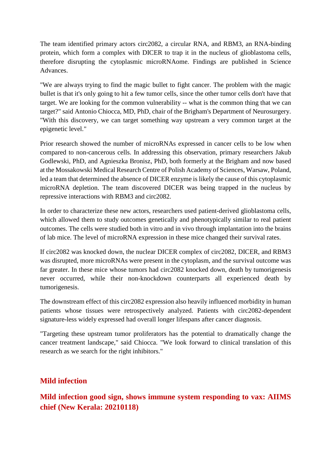The team identified primary actors circ2082, a circular RNA, and RBM3, an RNA-binding protein, which form a complex with DICER to trap it in the nucleus of glioblastoma cells, therefore disrupting the cytoplasmic microRNAome. Findings are published in Science Advances.

"We are always trying to find the magic bullet to fight cancer. The problem with the magic bullet is that it's only going to hit a few tumor cells, since the other tumor cells don't have that target. We are looking for the common vulnerability -- what is the common thing that we can target?" said Antonio Chiocca, MD, PhD, chair of the Brigham's Department of Neurosurgery. "With this discovery, we can target something way upstream a very common target at the epigenetic level."

Prior research showed the number of microRNAs expressed in cancer cells to be low when compared to non-cancerous cells. In addressing this observation, primary researchers Jakub Godlewski, PhD, and Agnieszka Bronisz, PhD, both formerly at the Brigham and now based at the Mossakowski Medical Research Centre of Polish Academy of Sciences, Warsaw, Poland, led a team that determined the absence of DICER enzyme is likely the cause of this cytoplasmic microRNA depletion. The team discovered DICER was being trapped in the nucleus by repressive interactions with RBM3 and circ2082.

In order to characterize these new actors, researchers used patient-derived glioblastoma cells, which allowed them to study outcomes genetically and phenotypically similar to real patient outcomes. The cells were studied both in vitro and in vivo through implantation into the brains of lab mice. The level of microRNA expression in these mice changed their survival rates.

If circ2082 was knocked down, the nuclear DICER complex of circ2082, DICER, and RBM3 was disrupted, more microRNAs were present in the cytoplasm, and the survival outcome was far greater. In these mice whose tumors had circ2082 knocked down, death by tumorigenesis never occurred, while their non-knockdown counterparts all experienced death by tumorigenesis.

The downstream effect of this circ2082 expression also heavily influenced morbidity in human patients whose tissues were retrospectively analyzed. Patients with circ2082-dependent signature-less widely expressed had overall longer lifespans after cancer diagnosis.

"Targeting these upstream tumor proliferators has the potential to dramatically change the cancer treatment landscape," said Chiocca. "We look forward to clinical translation of this research as we search for the right inhibitors."

#### **Mild infection**

**Mild infection good sign, shows immune system responding to vax: AIIMS chief (New Kerala: 20210118)**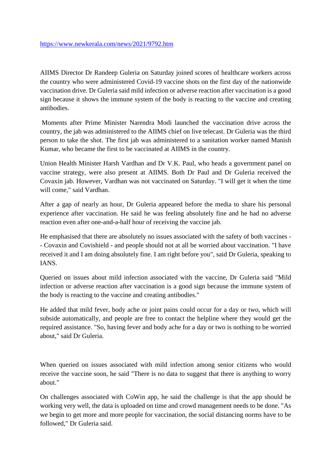AIIMS Director Dr Randeep Guleria on Saturday joined scores of healthcare workers across the country who were administered Covid-19 vaccine shots on the first day of the nationwide vaccination drive. Dr Guleria said mild infection or adverse reaction after vaccination is a good sign because it shows the immune system of the body is reacting to the vaccine and creating antibodies.

Moments after Prime Minister Narendra Modi launched the vaccination drive across the country, the jab was administered to the AIIMS chief on live telecast. Dr Guleria was the third person to take the shot. The first jab was administered to a sanitation worker named Manish Kumar, who became the first to be vaccinated at AIIMS in the country.

Union Health Minister Harsh Vardhan and Dr V.K. Paul, who heads a government panel on vaccine strategy, were also present at AIIMS. Both Dr Paul and Dr Guleria received the Covaxin jab. However, Vardhan was not vaccinated on Saturday. "I will get it when the time will come," said Vardhan.

After a gap of nearly an hour, Dr Guleria appeared before the media to share his personal experience after vaccination. He said he was feeling absolutely fine and he had no adverse reaction even after one-and-a-half hour of receiving the vaccine jab.

He emphasised that there are absolutely no issues associated with the safety of both vaccines - - Covaxin and Covishield - and people should not at all be worried about vaccination. "I have received it and I am doing absolutely fine. I am right before you", said Dr Guleria, speaking to IANS.

Queried on issues about mild infection associated with the vaccine, Dr Guleria said "Mild infection or adverse reaction after vaccination is a good sign because the immune system of the body is reacting to the vaccine and creating antibodies."

He added that mild fever, body ache or joint pains could occur for a day or two, which will subside automatically, and people are free to contact the helpline where they would get the required assistance. "So, having fever and body ache for a day or two is nothing to be worried about," said Dr Guleria.

When queried on issues associated with mild infection among senior citizens who would receive the vaccine soon, he said "There is no data to suggest that there is anything to worry about."

On challenges associated with CoWin app, he said the challenge is that the app should be working very well, the data is uploaded on time and crowd management needs to be done. "As we begin to get more and more people for vaccination, the social distancing norms have to be followed," Dr Guleria said.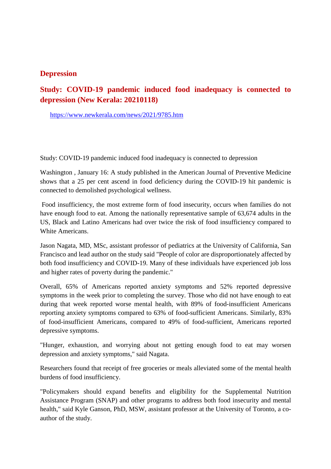#### **Depression**

#### **Study: COVID-19 pandemic induced food inadequacy is connected to depression (New Kerala: 20210118)**

https://www.newkerala.com/news/2021/9785.htm

Study: COVID-19 pandemic induced food inadequacy is connected to depression

Washington , January 16: A study published in the American Journal of Preventive Medicine shows that a 25 per cent ascend in food deficiency during the COVID-19 hit pandemic is connected to demolished psychological wellness.

Food insufficiency, the most extreme form of food insecurity, occurs when families do not have enough food to eat. Among the nationally representative sample of 63,674 adults in the US, Black and Latino Americans had over twice the risk of food insufficiency compared to White Americans.

Jason Nagata, MD, MSc, assistant professor of pediatrics at the University of California, San Francisco and lead author on the study said "People of color are disproportionately affected by both food insufficiency and COVID-19. Many of these individuals have experienced job loss and higher rates of poverty during the pandemic."

Overall, 65% of Americans reported anxiety symptoms and 52% reported depressive symptoms in the week prior to completing the survey. Those who did not have enough to eat during that week reported worse mental health, with 89% of food-insufficient Americans reporting anxiety symptoms compared to 63% of food-sufficient Americans. Similarly, 83% of food-insufficient Americans, compared to 49% of food-sufficient, Americans reported depressive symptoms.

"Hunger, exhaustion, and worrying about not getting enough food to eat may worsen depression and anxiety symptoms," said Nagata.

Researchers found that receipt of free groceries or meals alleviated some of the mental health burdens of food insufficiency.

"Policymakers should expand benefits and eligibility for the Supplemental Nutrition Assistance Program (SNAP) and other programs to address both food insecurity and mental health," said Kyle Ganson, PhD, MSW, assistant professor at the University of Toronto, a coauthor of the study.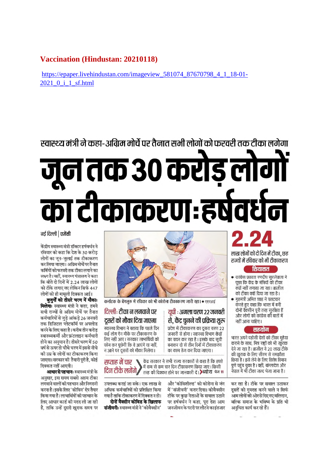#### **Vaccination (Hindustan: 20210118)**

https://epaper.livehindustan.com/imageview 581074 87670798 4 1 18-01-2021 0 i 1 sf.html

# स्वास्थ्य मंत्री ने कहा-अग्रिम मोर्चे पर तैनात सभी लोगों को फरवरी तक टीका लगेगा जून तक ३० करोड़ लोगों का टीकाकरणः हर्षवर्धन

#### नई दिल्ली | एजेंसी

केंद्रीय स्वास्थ्य मंत्री डॉक्टर हर्षवर्धन ने रविवार को कहा कि देश के 30 करोड़ लोगों का जून-जुलाई तक टीकाकरण कर लिया जाएगा। अग्रिम मोर्चे पर तैनात कर्मियों को फरवरी तक टीका लगाने का लक्ष्य है। वहीं, स्वास्थ्य मंत्रालय ने कहा कि बीते दो दिनों में 2.24 लाख लोगों को टीके लगाए गए लेकिन सिर्फ 447

लोगों को ही मामूली दिक्कत आई। बुजुगों को तीसरे चरण में मौकाः मिलेगाः स्वास्थ्य मंत्री ने कहा, हमने सभी राज्यों से अग्रिम मोर्चे पर तैनात कर्मचारियों से जुड़े आंकड़े 26 जनवरी तक डिजिटल प्लेटफॉर्म पर अपलोड करने के लिए कहा है। करीब तीन करोड स्वास्थ्यकर्मी और फ्रंटलाइन कर्मचारी होने का अनुमान है। तीसरे चरण में 50 वर्ष से ऊपर तो चौथे चरण में इससे नीचे की उम्र के लोगों का टीकाकरण किया जाएगा। सरकार की तैयारी परी है. कोई दिक्कत नहीं आएगी।

**आधार से पहचान:** स्वास्थ्य मंत्री के अनुसार, इस समय सबसे अहम टीका लगवाने वालों की पहचान और निगरानी करना है। इसके लिए 'कोविन' ऐप तैयार किया गया है। लाभार्थियों की पहचान के लिए आधार कार्ड की मदद ली जा रही है. ताकि उन्हें दसरी खराक समय पर



कर्नाटक के बेंगलुरु में रविवार को भी कोरोना टीकाकरण जारी रहा। • एएनआई

#### दिल्लीः टीका न लगवाने पर युपी : अगला चरण २२ जनवरी दसरों को मौका दिया जाएगा से. केंद्र चनने की प्रक्रिया शरू - .<br>स्वास्थ्य विभाग ने बताया कि पहले दिन

प्रदेश में टीकाकरण का दूसरा चरण 22 जनवरी से होगा। स्वास्थ्य विभाग केंद्रों का चयन कर रहा है। इसके बाद सची बनाकर दो से तीन दिनों में टीकाकरण का काम तेज कर दिया जाएगा।

केंद्र सरकार ने सभी राज्य सरकारों से कहा है कि हफ्ते सप्ताह में चार \\ **)** में कम से कम चार दिन टीकाकरण किया जाए। किसी दिन टीके लगेंगे तरह की दिक्कत होने पर जानकारी दें। >ब्योरा पेज 11

उपलब्ध कराई जा सके। एक लाख से अधिक कर्मचारियों को प्रशिक्षित किया गया है ताकि टीकाकरण में दिक्कत न हो। दोनों वैक्सीन कोविड के खिलाफ संजीवनी: स्वास्थ्य मंत्री ने 'कोवैक्सीन'

कई लोग ऐन मौके पर टीकाकरण के

लिए नहीं आए। सरकार लाभार्थियों को

फोन कर पुछेगी कि वे आएंगे या नहीं,

न आने पर दूसरों को मौका मिलेगा।

और 'कोविशील्ड' को कोरोना से जंग में 'संजीवनी' करार दिया। कोवैक्सीन टीके पर कछ नेताओं के सवाल उठाने पर हर्षवर्धन ने कहा, परा देश आम जनजीवन के पटरी पर लौटने का इंतजार

लाख लोगों को दो दिन में टीका. छह राज्यों में रविवार को भी टीकाकरण

#### सियासत

- कांग्रेस प्रवक्ता रणदीप सुरजेवाला ने पूछा कि केंद्र के मंत्रियों को टीका क्यों नहीं लगाया जा रहा। ब्राजील को टीका क्यों दिया जा रहा है।
- गृहमंत्री अमित शाह ने पलटवार करते हुए कहा कि भारत में बनी दोनों वैक्सीन पूरी तरह सूरक्षित हैं और लोगों को कांग्रेस की बातों में नहीं आना चाहिए।

#### सहयोग

भारत अपने पडोसी देशों को टीका मुहैया कराने के साथ, मित्र राष्ट्रों को भी खुराक देने जा रहा है। ब्राजील ने 20 लाख टीके की खुराक के लिए सीरम से समझौता किया है। इसे लेने के लिए विशेष विमान पुणे पहुंच चुका है। वहीं, बांग्लादेश और नेपाल में भी टीका जल्द भेजा जाना है।

कर रहा है। टीके पर सवाल उठाकर दसरों को गमराह करने वाले न सिर्फ आम लोगों की ओर से दिए गए बलिदान. बल्कि समाज के भविष्य के प्रति भी अनचित कार्य कर रहे हैं।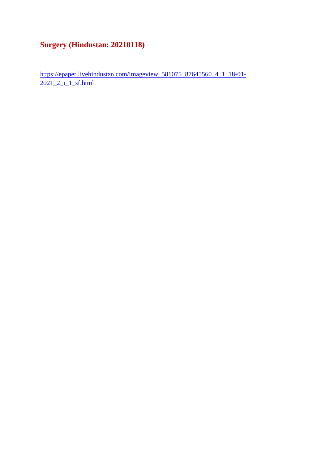## **Surgery (Hindustan: 20210118)**

https://epaper.livehindustan.com/imageview\_581075\_87645560\_4\_1\_18-01- 2021 2 i 1 sf.html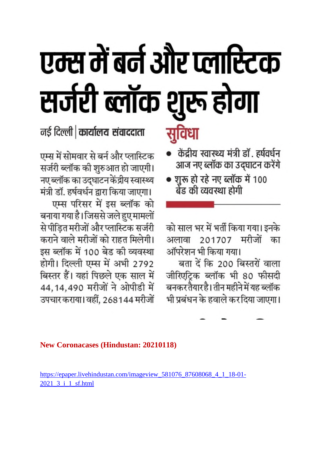# एम्स में बर्न और प्लास्टिक सर्जरी ब्लॉक शुरू होगा

नई दिल्ली | कार्यालय संवाददाता

एम्स में सोमवार से बर्न और प्लास्टिक सर्जरी ब्लॉक की शुरुआत हो जाएगी। नए ब्लॉक का उद्घाटन केंद्रीय स्वास्थ्य मंत्री डॉ. हर्षवर्धन द्वारा किया जाएगा।

एम्स परिसर में इस ब्लॉक को बनाया गया है। जिससे जले हुए मामलों से पीड़ित मरीजों और प्लास्टिक सर्जरी कराने वाले मरीजों को राहत मिलेगी। इस ब्लॉक में 100 बेड की व्यवस्था होगी। दिल्ली एम्स में अभी 2792 बिस्तर हैं। यहां पिछले एक साल में 44, 14, 490 मरीजों ने ओपीडी में उपचार कराया। वहीं, 268144 मरीजों

- केंद्रीय स्वास्थ्य मंत्री डॉ. हर्षवर्धन आज नए ब्लॉक का उद्घाटन करेंगे
- शुरू हो रहे नए ब्लॉक में 100 बेंड की व्यवस्था होगी

को साल भर में भर्ती किया गया। इनके मरीजों अलावा 201707 का ऑपरेशन भी किया गया।

बता दें कि 200 बिस्तरों वाला जीरिएट्रिक ब्लॉक भी 80 फीसदी बनकर तैयार है। तीन महीने में यह ब्लॉक भी प्रबंधन के हवाले कर दिया जाएगा।

**New Coronacases (Hindustan: 20210118)** 

https://epaper.livehindustan.com/imageview\_581076\_87608068\_4\_1\_18-01-2021\_3\_i\_1\_sf.html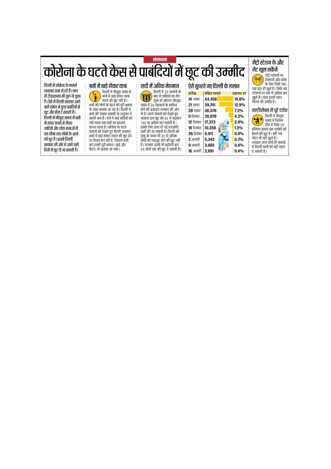## संभावना कोरोना के घटते केस से पाबंदियों में छूट की उम्मीद

दिल्ली में कोरोना के मामले लगातार कम हो रहे हैं। साथ ही टीकाकरण भी शुरू हो चुका है। ऐसे में दिल्ली सरकार आने वाले समय में कुछ पाबंदियों में छूट और ढील दे सकती है। दिल्ली में मौजूदा समय में बसो में सफर करने से लेकर शादियों और शोक सभाओं में तय सीमा तक लोगों के आने की छूट है। इनमें दिल्ली सरकार की ओर से आने वाले दिनों में छूट दी जा सकती है।

बसों में खडे होकर यात्रा खरे लेकेट जाना<br>दिल्ली में मौजूदा समय में<br>बसों में खड़े होकर यात्रा  $\mathbf{r}$ करने की छूट नहीं है। बसों को लोगों के बैठने की पूरी क्षमता के साथ चलाया जा रहा है। दिल्ली में स्तों की संख्या आबादी के अनुपात में<br>बसों की संख्या आबादी के अनुपात में<br>काफी कम है । ऐसे में कई यात्रियों को लंबे समय तक बसों का दंतजार करना पडता है। कोरोना के घटते मामलों को देखते हुए दिल्ली सरकार बसों में खड़े होकर सफर की छूट देने पर विचार कर रही है, जिससे बसों को उनकी पुरी क्षमता (खडे और

काउँ । का जूस वास्ता ( खड़<br>बैठने ) से चलाया जा सके ।

शादी में अधिक मेहमान दिल्ली में 20 जनवरी के W बाद से शादियों का दौर शुरू हो जाएगा। मौजूदा समय में 50 मेहमानों के शामिल होने की इजाजत सरकार की ओर से है । घटते मामलों को देखते हुए सरकार इस छूट को 50 से बढ़ाकर 100 या अधिक कर सकती है। इसके लिए जल्द ही नई एसओपी जारी की जा सकती है। किसी की मृत्यु के समय भी 20 से अधिक नृत्यु पन्तानमा २० ता आपके<br>लोगों को एकजुट होने की छूट नहीं<br>है । सरकार इसमें भी बढोतरी कर 50 लोगों तक की छूट दे सकती है।

| ऐसे सुधरते गए दिल्ली के हालात |                         |            |
|-------------------------------|-------------------------|------------|
| तारीख                         | सक्रिय मामले            | संक्रमण दर |
| <b>14</b> नवंबर               | 44,456                  | 14.8%      |
| 21 नवंबर                      | 39.741                  | 12.9%      |
| $28$ नवंबर                    | 36,578                  | 7.2%       |
| 5 दिसंबर                      | 26,678                  | 4.2%       |
| 12 दिसंबर                     | 17.373<br><b>12 Akr</b> | 2.6%       |
| 19 दिसंबर                     | 10,358                  | 1.3%       |
| 26 दिसंबर                     | 6.911                   | 0.9%       |
| 2 जनवरी                       | 5,342                   | 0.7%       |
| 9 जनवरी                       | 3.683                   | 0.6%       |
| 16 जनवरी                      | 2.691                   | 0.4%       |

गेट खुल सकेंगे मेट्रो स्टेशनों पर 骨帽 निकासी और प्रवेश के लिए सिर्फ एक-का लए ।सफ एक-<br>एक द्वार ही खुले हैं । सिर्फ बड़े<br>स्टेशनों पर एक से अधिक द्वार रखले हैं। जल्द इसमें राहत मिलने की उम्मीद है।

मेट्रो स्टेशन के और

मल्टीप्लेक्स में पूरे दर्शक दिल्ली में मौजूदा ● दिल्ली में मौजूदा<br>● सुमय में सिनेमा हॉल में सिर्फ 50 प्रतिशत क्षमता तक दर्शकों को बैठाने की छट है। वहीं स्पा षठान का छूट है । पैहा स्पा<br>सेंटर भी नहीं खुले हैं ।<br>सरकार जल्द दोनों ही मामलों में दिल्ली वालों को बड़ी राहत

दे सकती है।